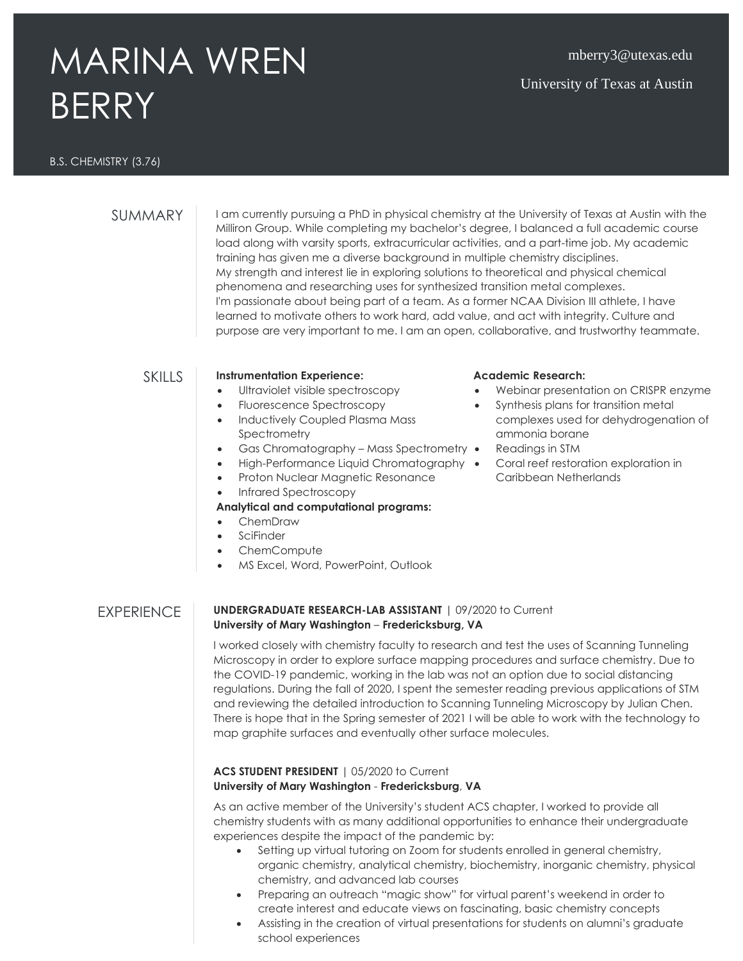# MARINA WREN BERRY

## mberry3@utexas.edu

## University of Texas at Austin

#### B.S. CHEMISTRY (3.76)

SUMMARY **I** am currently pursuing a PhD in physical chemistry at the University of Texas at Austin with the Milliron Group. While completing my bachelor's degree, I balanced a full academic course load along with varsity sports, extracurricular activities, and a part-time job. My academic training has given me a diverse background in multiple chemistry disciplines. My strength and interest lie in exploring solutions to theoretical and physical chemical phenomena and researching uses for synthesized transition metal complexes. I'm passionate about being part of a team. As a former NCAA Division III athlete, I have learned to motivate others to work hard, add value, and act with integrity. Culture and purpose are very important to me. I am an open, collaborative, and trustworthy teammate.

#### SKILLS **Instrumentation Experience:**

- Ultraviolet visible spectroscopy
- Fluorescence Spectroscopy
- Inductively Coupled Plasma Mass **Spectrometry**
- Gas Chromatography Mass Spectrometry •
- High-Performance Liquid Chromatography •
- Proton Nuclear Magnetic Resonance
- Infrared Spectroscopy

#### **Analytical and computational programs:**

- ChemDraw
- SciFinder
- ChemCompute
- MS Excel, Word, PowerPoint, Outlook

#### **Academic Research:**

- Webinar presentation on CRISPR enzyme
- Synthesis plans for transition metal complexes used for dehydrogenation of ammonia borane
- Readings in STM
- Coral reef restoration exploration in Caribbean Netherlands

#### EXPERIENCE **UNDERGRADUATE RESEARCH-LAB ASSISTANT** | 09/2020 to Current **University of Mary Washington** – **Fredericksburg, VA**

I worked closely with chemistry faculty to research and test the uses of Scanning Tunneling Microscopy in order to explore surface mapping procedures and surface chemistry. Due to the COVID-19 pandemic, working in the lab was not an option due to social distancing regulations. During the fall of 2020, I spent the semester reading previous applications of STM and reviewing the detailed introduction to Scanning Tunneling Microscopy by Julian Chen. There is hope that in the Spring semester of 2021 I will be able to work with the technology to map graphite surfaces and eventually other surface molecules.

### **ACS STUDENT PRESIDENT** | 05/2020 to Current **University of Mary Washington** - **Fredericksburg**, **VA**

As an active member of the University's student ACS chapter, I worked to provide all chemistry students with as many additional opportunities to enhance their undergraduate experiences despite the impact of the pandemic by:

- Setting up virtual tutoring on Zoom for students enrolled in general chemistry, organic chemistry, analytical chemistry, biochemistry, inorganic chemistry, physical chemistry, and advanced lab courses
- Preparing an outreach "magic show" for virtual parent's weekend in order to create interest and educate views on fascinating, basic chemistry concepts
- Assisting in the creation of virtual presentations for students on alumni's graduate school experiences